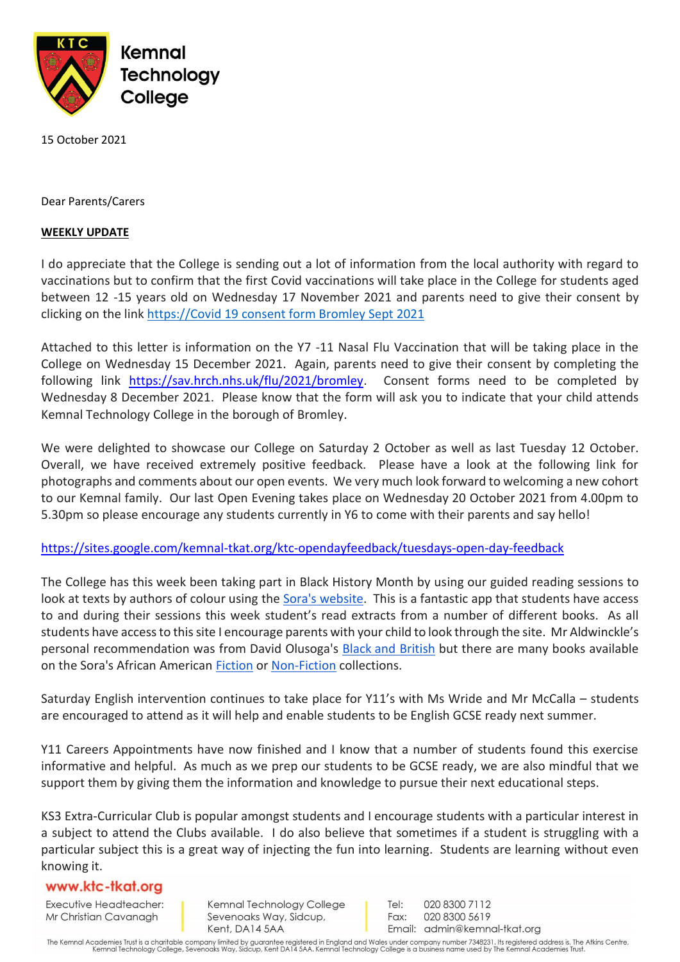

15 October 2021

Dear Parents/Carers

## **WEEKLY UPDATE**

I do appreciate that the College is sending out a lot of information from the local authority with regard to vaccinations but to confirm that the first Covid vaccinations will take place in the College for students aged between 12 -15 years old on Wednesday 17 November 2021 and parents need to give their consent by clicking on the link https://Covid 19 consent form Bromley Sept 2021

Attached to this letter is information on the Y7 -11 Nasal Flu Vaccination that will be taking place in the College on Wednesday 15 December 2021. Again, parents need to give their consent by completing the following link [https://sav.hrch.nhs.uk/flu/2021/bromley.](https://sav.hrch.nhs.uk/flu/2021/bromley) Consent forms need to be completed by Wednesday 8 December 2021. Please know that the form will ask you to indicate that your child attends Kemnal Technology College in the borough of Bromley.

We were delighted to showcase our College on Saturday 2 October as well as last Tuesday 12 October. Overall, we have received extremely positive feedback. Please have a look at the following link for photographs and comments about our open events. We very much look forward to welcoming a new cohort to our Kemnal family. Our last Open Evening takes place on Wednesday 20 October 2021 from 4.00pm to 5.30pm so please encourage any students currently in Y6 to come with their parents and say hello!

<https://sites.google.com/kemnal-tkat.org/ktc-opendayfeedback/tuesdays-open-day-feedback>

The College has this week been taking part in Black History Month by using our guided reading sessions to look at texts by authors of colour using the [Sora's website.](https://soraapp.com/welcome/login/202256) This is a fantastic app that students have access to and during their sessions this week student's read extracts from a number of different books. As all students have access to this site I encourage parents with your child to look through the site. Mr Aldwinckle's personal recommendation was from David Olusoga's Black and [British](https://soraapp.com/library/uksecondary/5701894) but there are many books available on the Sora's African American [Fiction](https://soraapp.com/library/uksecondary/subject-41/page-1) or [Non-Fiction](https://soraapp.com/library/uksecondary/subject-102/page-1) collections.

Saturday English intervention continues to take place for Y11's with Ms Wride and Mr McCalla – students are encouraged to attend as it will help and enable students to be English GCSE ready next summer.

Y11 Careers Appointments have now finished and I know that a number of students found this exercise informative and helpful. As much as we prep our students to be GCSE ready, we are also mindful that we support them by giving them the information and knowledge to pursue their next educational steps.

KS3 Extra-Curricular Club is popular amongst students and I encourage students with a particular interest in a subject to attend the Clubs available. I do also believe that sometimes if a student is struggling with a particular subject this is a great way of injecting the fun into learning. Students are learning without even knowing it.

## www.ktc-tkat.org

Executive Headteacher: Mr Christian Cavanagh

Kemnal Technology College Sevenoaks Way, Sidcup, Kent, DA14 5AA

Tel: 020 8300 7112 Fax: 020 8300 5619 Email: admin@kemnal-tkat.org

The Kemnal Academies Trust is a charitable company limited by guarantee registered in England and Wales under company number 7348231. Its registered address is, The Atkins Centre,<br>Kemnal Technology College, Sevenoaks Way,